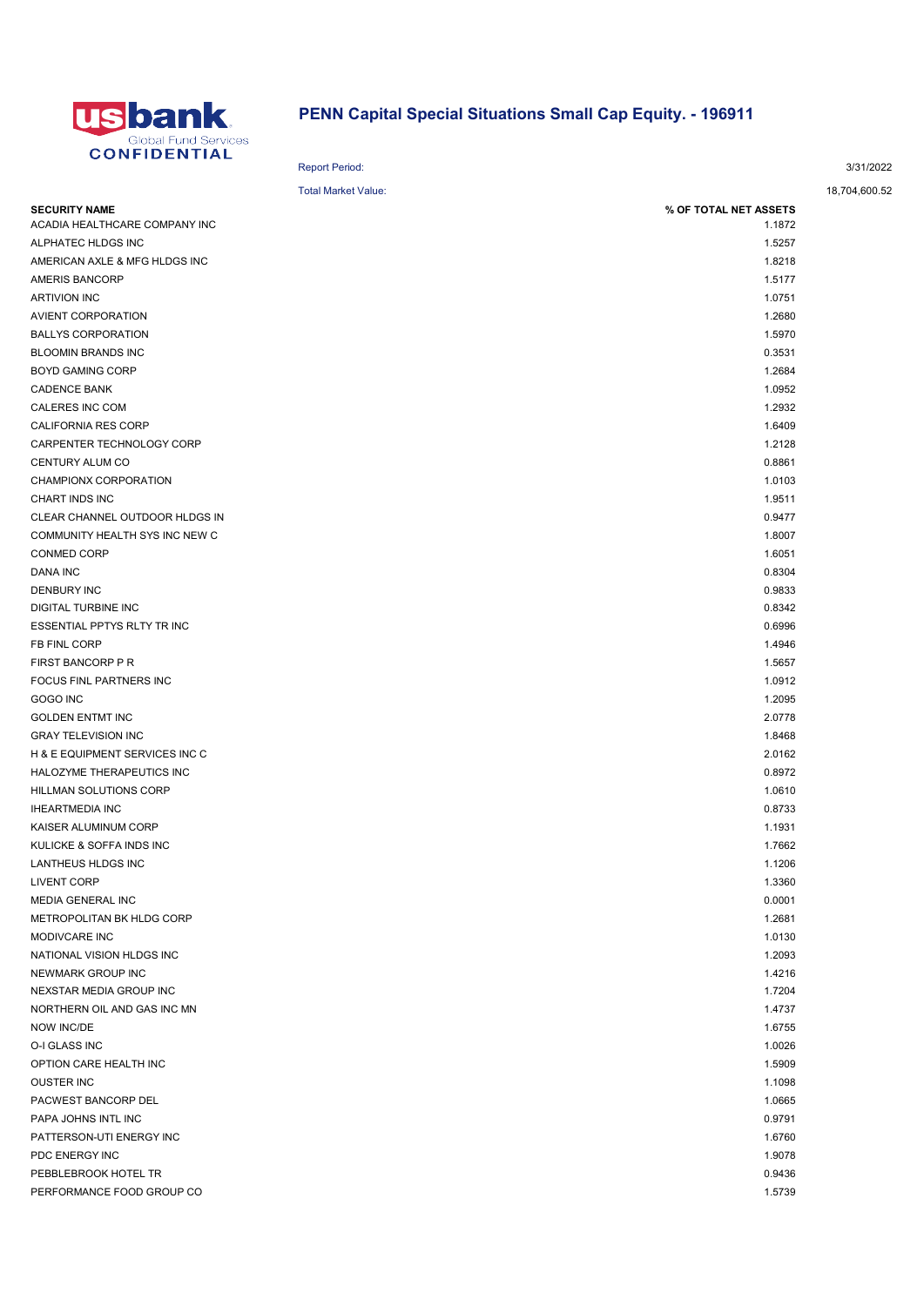

## PENN Capital Special Situations Small Cap Equity. - 196911

| VIII IVLII IAL                 | <b>Report Period:</b>      |                       | 3/31/2022     |
|--------------------------------|----------------------------|-----------------------|---------------|
|                                | <b>Total Market Value:</b> |                       | 18,704,600.52 |
| <b>SECURITY NAME</b>           |                            | % OF TOTAL NET ASSETS |               |
| ACADIA HEALTHCARE COMPANY INC  |                            | 1.1872                |               |
| ALPHATEC HLDGS INC             |                            | 1.5257                |               |
| AMERICAN AXLE & MFG HLDGS INC  |                            | 1.8218                |               |
| AMERIS BANCORP                 |                            | 1.5177                |               |
| ARTIVION INC                   |                            | 1.0751                |               |
| AVIENT CORPORATION             |                            | 1.2680                |               |
| BALLYS CORPORATION             |                            | 1.5970                |               |
| BLOOMIN BRANDS INC             |                            | 0.3531                |               |
| BOYD GAMING CORP               |                            | 1.2684                |               |
| CADENCE BANK                   |                            | 1.0952                |               |
| CALERES INC COM                |                            | 1.2932                |               |
| CALIFORNIA RES CORP            |                            | 1.6409                |               |
| CARPENTER TECHNOLOGY CORP      |                            | 1.2128                |               |
| CENTURY ALUM CO                |                            | 0.8861                |               |
| CHAMPIONX CORPORATION          |                            | 1.0103                |               |
| CHART INDS INC                 |                            | 1.9511                |               |
| CLEAR CHANNEL OUTDOOR HLDGS IN |                            | 0.9477                |               |
| COMMUNITY HEALTH SYS INC NEW C |                            | 1.8007                |               |
| CONMED CORP                    |                            | 1.6051                |               |
| DANA INC                       |                            | 0.8304                |               |
| DENBURY INC                    |                            | 0.9833                |               |
| DIGITAL TURBINE INC            |                            | 0.8342                |               |
| ESSENTIAL PPTYS RLTY TR INC    |                            | 0.6996                |               |
| FB FINL CORP                   |                            | 1.4946                |               |
| FIRST BANCORP P R              |                            | 1.5657                |               |
| FOCUS FINL PARTNERS INC        |                            | 1.0912                |               |
| GOGO INC                       |                            | 1.2095                |               |
| <b>GOLDEN ENTMT INC</b>        |                            | 2.0778                |               |
| <b>GRAY TELEVISION INC</b>     |                            | 1.8468                |               |
| H & E EQUIPMENT SERVICES INC C |                            | 2.0162                |               |
| HALOZYME THERAPEUTICS INC      |                            | 0.8972                |               |
| HILLMAN SOLUTIONS CORP         |                            | 1.0610                |               |
| <b>IHEARTMEDIA INC</b>         |                            | 0.8733                |               |
| KAISER ALUMINUM CORP           |                            | 1.1931                |               |
| KULICKE & SOFFA INDS INC       |                            | 1.7662                |               |
| LANTHEUS HLDGS INC             |                            | 1.1206                |               |
| LIVENT CORP                    |                            | 1.3360                |               |
| MEDIA GENERAL INC              |                            | 0.0001                |               |
| METROPOLITAN BK HLDG CORP      |                            | 1.2681                |               |
| MODIVCARE INC                  |                            | 1.0130                |               |
| NATIONAL VISION HLDGS INC      |                            | 1.2093                |               |
| NEWMARK GROUP INC              |                            | 1.4216                |               |
| NEXSTAR MEDIA GROUP INC        |                            | 1.7204                |               |
| NORTHERN OIL AND GAS INC MN    |                            | 1.4737                |               |
| NOW INC/DE                     |                            | 1.6755                |               |
| O-I GLASS INC                  |                            | 1.0026                |               |
| OPTION CARE HEALTH INC         |                            | 1.5909                |               |
| OUSTER INC                     |                            | 1.1098                |               |
| PACWEST BANCORP DEL            |                            | 1.0665                |               |
| PAPA JOHNS INTL INC            |                            | 0.9791                |               |
| PATTERSON-UTI ENERGY INC       |                            | 1.6760                |               |
| PDC ENERGY INC                 |                            | 1.9078                |               |
| PEBBLEBROOK HOTEL TR           |                            | 0.9436                |               |
|                                |                            |                       |               |

PERFORMANCE FOOD GROUP CO **1.5739** 1.5739